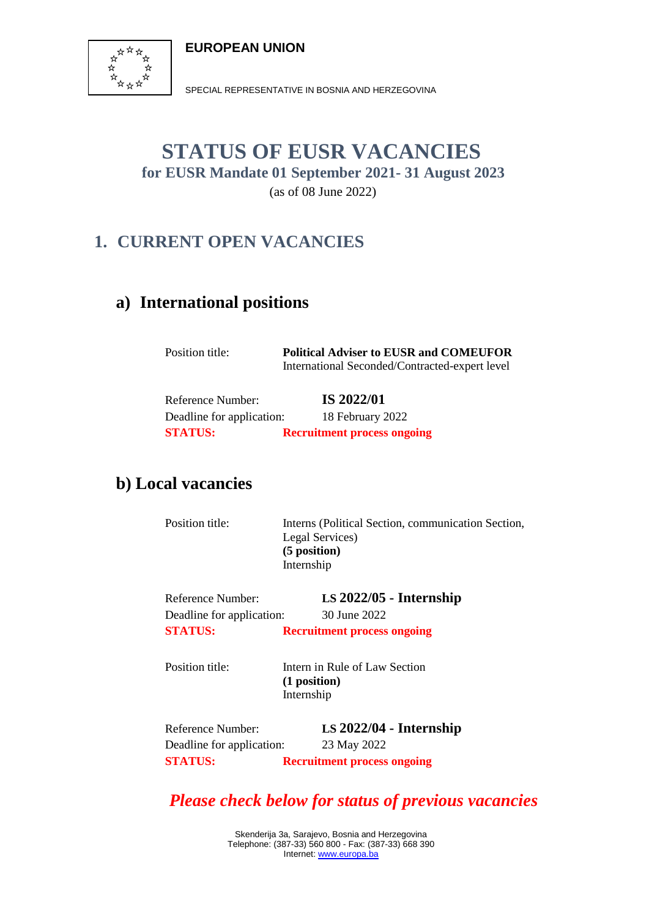**EUROPEAN UNION**



SPECIAL REPRESENTATIVE IN BOSNIA AND HERZEGOVINA

### **STATUS OF EUSR VACANCIES for EUSR Mandate 01 September 2021- 31 August 2023** (as of 08 June 2022)

## **1. CURRENT OPEN VACANCIES**

#### **a) International positions**

Position title: **Political Adviser to EUSR and COMEUFOR** International Seconded/Contracted-expert level

 Reference Number: **IS 2022/01** Deadline for application: 18 February 2022  **STATUS: Recruitment process ongoing**

#### **b) Local vacancies**

| Position title:                                                  | Interns (Political Section, communication Section,<br>Legal Services)<br>(5 position)<br>Internship |
|------------------------------------------------------------------|-----------------------------------------------------------------------------------------------------|
| Reference Number:<br>Deadline for application:                   | $LS$ 2022/05 - Internship<br>30 June 2022                                                           |
| <b>STATUS:</b>                                                   | <b>Recruitment process ongoing</b>                                                                  |
| Position title:                                                  | Intern in Rule of Law Section<br>(1 position)<br>Internship                                         |
| Reference Number:<br>Deadline for application:<br><b>STATUS:</b> | $LS$ 2022/04 - Internship<br>23 May 2022<br><b>Recruitment process ongoing</b>                      |

*Please check below for status of previous vacancies*

Skenderija 3a, Sarajevo, Bosnia and Herzegovina Telephone: (387-33) 560 800 - Fax: (387-33) 668 390 Internet: [www.europa.ba](http://www.europa.ba/)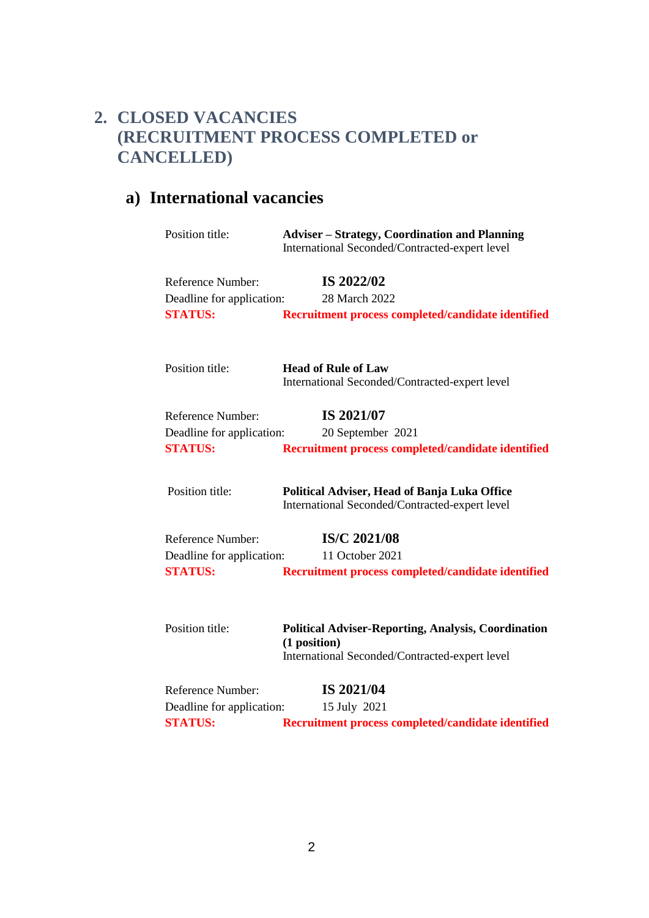### **2. CLOSED VACANCIES (RECRUITMENT PROCESS COMPLETED or CANCELLED)**

# **a) International vacancies**

| Position title:           | <b>Adviser – Strategy, Coordination and Planning</b><br>International Seconded/Contracted-expert level                       |
|---------------------------|------------------------------------------------------------------------------------------------------------------------------|
| <b>Reference Number:</b>  | IS 2022/02                                                                                                                   |
| Deadline for application: | 28 March 2022                                                                                                                |
| <b>STATUS:</b>            | Recruitment process completed/candidate identified                                                                           |
| Position title:           | <b>Head of Rule of Law</b><br>International Seconded/Contracted-expert level                                                 |
| <b>Reference Number:</b>  | IS 2021/07                                                                                                                   |
| Deadline for application: | 20 September 2021                                                                                                            |
| <b>STATUS:</b>            | Recruitment process completed/candidate identified                                                                           |
| Position title:           | Political Adviser, Head of Banja Luka Office<br>International Seconded/Contracted-expert level                               |
| <b>Reference Number:</b>  | IS/C 2021/08                                                                                                                 |
| Deadline for application: | 11 October 2021                                                                                                              |
| <b>STATUS:</b>            | Recruitment process completed/candidate identified                                                                           |
| Position title:           | <b>Political Adviser-Reporting, Analysis, Coordination</b><br>(1 position)<br>International Seconded/Contracted-expert level |
| <b>Reference Number:</b>  | IS 2021/04                                                                                                                   |
| Deadline for application: | 15 July 2021                                                                                                                 |
| <b>STATUS:</b>            | Recruitment process completed/candidate identified                                                                           |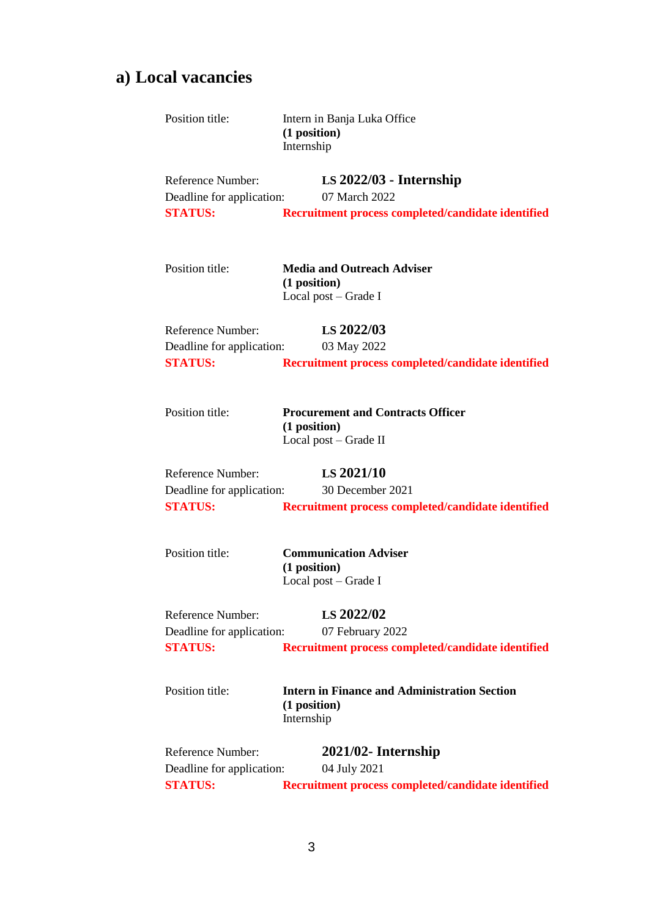# **a) Local vacancies**

| Position title:                                                  | Intern in Banja Luka Office<br>(1 position)<br>Internship                         |
|------------------------------------------------------------------|-----------------------------------------------------------------------------------|
| Reference Number:<br>Deadline for application:<br><b>STATUS:</b> | $LS$ 2022/03 - Internship<br>07 March 2022                                        |
|                                                                  | Recruitment process completed/candidate identified                                |
| Position title:                                                  | <b>Media and Outreach Adviser</b><br>(1 position)<br>Local post $-$ Grade I       |
| Reference Number:                                                | LS 2022/03                                                                        |
| Deadline for application:                                        | 03 May 2022                                                                       |
| <b>STATUS:</b>                                                   | Recruitment process completed/candidate identified                                |
| Position title:                                                  | <b>Procurement and Contracts Officer</b><br>(1 position)<br>Local post – Grade II |
| Reference Number:                                                | LS 2021/10                                                                        |
| Deadline for application:                                        | 30 December 2021                                                                  |
| <b>STATUS:</b>                                                   | Recruitment process completed/candidate identified                                |
| Position title:                                                  | <b>Communication Adviser</b><br>(1 position)<br>Local post – Grade I              |
| <b>Reference Number:</b>                                         | LS 2022/02                                                                        |
| Deadline for application:                                        | 07 February 2022                                                                  |
| <b>STATUS:</b>                                                   | Recruitment process completed/candidate identified                                |
| Position title:                                                  | <b>Intern in Finance and Administration Section</b><br>(1 position)<br>Internship |
| Reference Number:                                                | 2021/02- Internship                                                               |
| Deadline for application:                                        | 04 July 2021                                                                      |
| <b>STATUS:</b>                                                   | Recruitment process completed/candidate identified                                |
|                                                                  |                                                                                   |